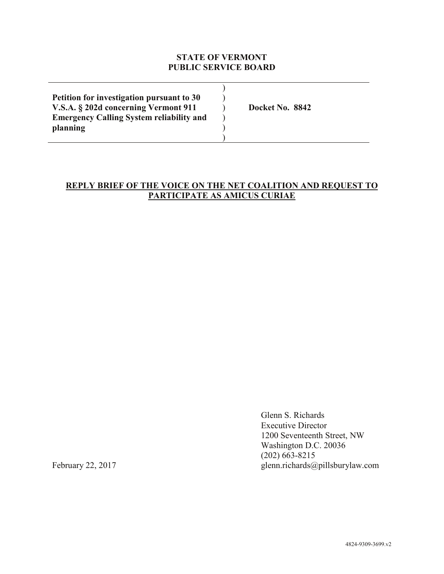# **STATE OF VERMONT PUBLIC SERVICE BOARD**

| Petition for investigation pursuant to 30       |                 |
|-------------------------------------------------|-----------------|
| V.S.A. § 202d concerning Vermont 911            | Docket No. 8842 |
| <b>Emergency Calling System reliability and</b> |                 |
| planning                                        |                 |
|                                                 |                 |

# **REPLY BRIEF OF THE VOICE ON THE NET COALITION AND REQUEST TO PARTICIPATE AS AMICUS CURIAE**

Glenn S. Richards Executive Director 1200 Seventeenth Street, NW Washington D.C. 20036 (202) 663-8215 February 22, 2017 glenn.richards@pillsburylaw.com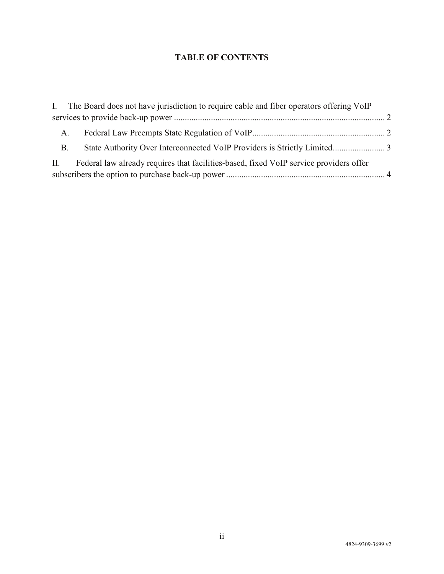# **TABLE OF CONTENTS**

|           | I. The Board does not have jurisdiction to require cable and fiber operators offering VoIP |  |
|-----------|--------------------------------------------------------------------------------------------|--|
|           |                                                                                            |  |
| $A_{1}$   |                                                                                            |  |
| <b>B.</b> |                                                                                            |  |
|           | II. Federal law already requires that facilities-based, fixed VoIP service providers offer |  |
|           |                                                                                            |  |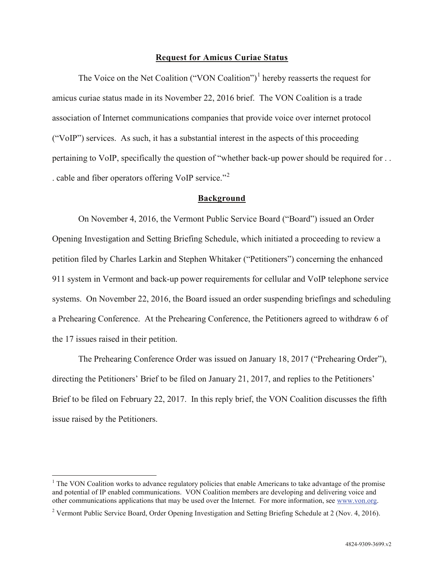#### **Request for Amicus Curiae Status**

The Voice on the Net Coalition ("VON Coalition")<sup>1</sup> hereby reasserts the request for amicus curiae status made in its November 22, 2016 brief. The VON Coalition is a trade association of Internet communications companies that provide voice over internet protocol ("VoIP") services. As such, it has a substantial interest in the aspects of this proceeding pertaining to VoIP, specifically the question of "whether back-up power should be required for . . . cable and fiber operators offering VoIP service."<sup>2</sup>

#### **Background**

On November 4, 2016, the Vermont Public Service Board ("Board") issued an Order Opening Investigation and Setting Briefing Schedule, which initiated a proceeding to review a petition filed by Charles Larkin and Stephen Whitaker ("Petitioners") concerning the enhanced 911 system in Vermont and back-up power requirements for cellular and VoIP telephone service systems. On November 22, 2016, the Board issued an order suspending briefings and scheduling a Prehearing Conference. At the Prehearing Conference, the Petitioners agreed to withdraw 6 of the 17 issues raised in their petition.

The Prehearing Conference Order was issued on January 18, 2017 ("Prehearing Order"), directing the Petitioners' Brief to be filed on January 21, 2017, and replies to the Petitioners' Brief to be filed on February 22, 2017. In this reply brief, the VON Coalition discusses the fifth issue raised by the Petitioners.

<sup>&</sup>lt;sup>1</sup> The VON Coalition works to advance regulatory policies that enable Americans to take advantage of the promise and potential of IP enabled communications. VON Coalition members are developing and delivering voice and other communications applications that may be used over the Internet. For more information, see www.von.org.

<sup>2</sup> Vermont Public Service Board, Order Opening Investigation and Setting Briefing Schedule at 2 (Nov. 4, 2016).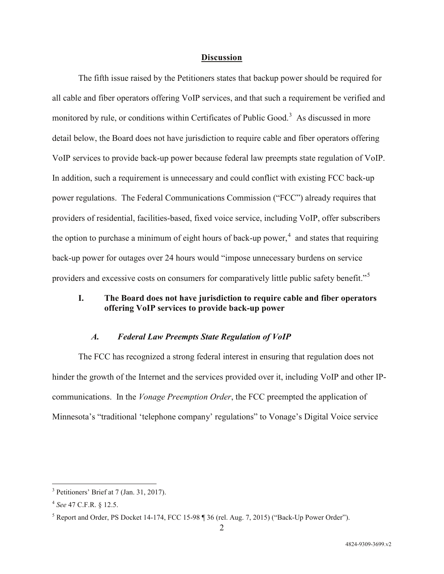#### **Discussion**

The fifth issue raised by the Petitioners states that backup power should be required for all cable and fiber operators offering VoIP services, and that such a requirement be verified and monitored by rule, or conditions within Certificates of Public Good.<sup>3</sup> As discussed in more detail below, the Board does not have jurisdiction to require cable and fiber operators offering VoIP services to provide back-up power because federal law preempts state regulation of VoIP. In addition, such a requirement is unnecessary and could conflict with existing FCC back-up power regulations. The Federal Communications Commission ("FCC") already requires that providers of residential, facilities-based, fixed voice service, including VoIP, offer subscribers the option to purchase a minimum of eight hours of back-up power,<sup>4</sup> and states that requiring back-up power for outages over 24 hours would "impose unnecessary burdens on service providers and excessive costs on consumers for comparatively little public safety benefit."5

## **I. The Board does not have jurisdiction to require cable and fiber operators offering VoIP services to provide back-up power**

## *A. Federal Law Preempts State Regulation of VoIP*

The FCC has recognized a strong federal interest in ensuring that regulation does not hinder the growth of the Internet and the services provided over it, including VoIP and other IPcommunications. In the *Vonage Preemption Order*, the FCC preempted the application of Minnesota's "traditional 'telephone company' regulations" to Vonage's Digital Voice service

 <sup>3</sup> Petitioners' Brief at 7 (Jan. 31, 2017).

<sup>4</sup> *See* 47 C.F.R. § 12.5.

<sup>5</sup> Report and Order, PS Docket 14-174, FCC 15-98 ¶ 36 (rel. Aug. 7, 2015) ("Back-Up Power Order").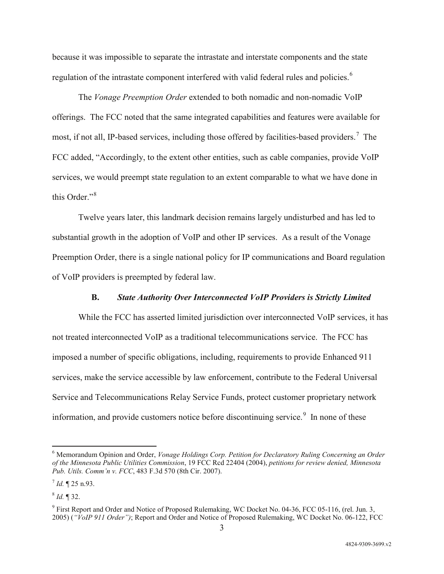because it was impossible to separate the intrastate and interstate components and the state regulation of the intrastate component interfered with valid federal rules and policies.<sup>6</sup>

The *Vonage Preemption Order* extended to both nomadic and non-nomadic VoIP offerings. The FCC noted that the same integrated capabilities and features were available for most, if not all, IP-based services, including those offered by facilities-based providers.<sup>7</sup> The FCC added, "Accordingly, to the extent other entities, such as cable companies, provide VoIP services, we would preempt state regulation to an extent comparable to what we have done in this Order $\cdot$ <sup>8</sup>

Twelve years later, this landmark decision remains largely undisturbed and has led to substantial growth in the adoption of VoIP and other IP services. As a result of the Vonage Preemption Order, there is a single national policy for IP communications and Board regulation of VoIP providers is preempted by federal law.

#### **B.** *State Authority Over Interconnected VoIP Providers is Strictly Limited*

While the FCC has asserted limited jurisdiction over interconnected VoIP services, it has not treated interconnected VoIP as a traditional telecommunications service. The FCC has imposed a number of specific obligations, including, requirements to provide Enhanced 911 services, make the service accessible by law enforcement, contribute to the Federal Universal Service and Telecommunications Relay Service Funds, protect customer proprietary network information, and provide customers notice before discontinuing service.<sup>9</sup> In none of these

 <sup>6</sup> Memorandum Opinion and Order, *Vonage Holdings Corp. Petition for Declaratory Ruling Concerning an Order of the Minnesota Public Utilities Commission*, 19 FCC Rcd 22404 (2004), *petitions for review denied, Minnesota Pub. Utils. Comm'n v. FCC*, 483 F.3d 570 (8th Cir. 2007).

 $^{7}$  *Id.*  $\P$  25 n.93.

 $^{8}$  *Id.* ¶ 32.

<sup>9</sup> First Report and Order and Notice of Proposed Rulemaking, WC Docket No. 04-36, FCC 05-116, (rel. Jun. 3, 2005) (*"VoIP 911 Order")*; Report and Order and Notice of Proposed Rulemaking, WC Docket No. 06-122, FCC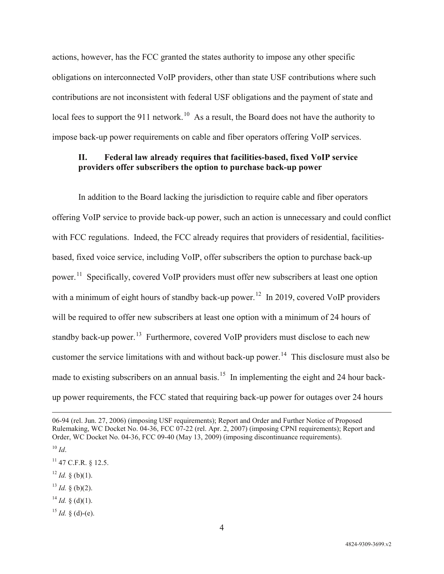actions, however, has the FCC granted the states authority to impose any other specific obligations on interconnected VoIP providers, other than state USF contributions where such contributions are not inconsistent with federal USF obligations and the payment of state and local fees to support the 911 network.<sup>10</sup> As a result, the Board does not have the authority to impose back-up power requirements on cable and fiber operators offering VoIP services.

## **II. Federal law already requires that facilities-based, fixed VoIP service providers offer subscribers the option to purchase back-up power**

In addition to the Board lacking the jurisdiction to require cable and fiber operators offering VoIP service to provide back-up power, such an action is unnecessary and could conflict with FCC regulations. Indeed, the FCC already requires that providers of residential, facilitiesbased, fixed voice service, including VoIP, offer subscribers the option to purchase back-up power.<sup>11</sup> Specifically, covered VoIP providers must offer new subscribers at least one option with a minimum of eight hours of standby back-up power.<sup>12</sup> In 2019, covered VoIP providers will be required to offer new subscribers at least one option with a minimum of 24 hours of standby back-up power.<sup>13</sup> Furthermore, covered VoIP providers must disclose to each new customer the service limitations with and without back-up power.<sup>14</sup> This disclosure must also be made to existing subscribers on an annual basis.<sup>15</sup> In implementing the eight and 24 hour backup power requirements, the FCC stated that requiring back-up power for outages over 24 hours

 $\overline{a}$ 

- $12$  *Id.* § (b)(1).
- $13$  *Id.* § (b)(2).
- $^{14}$  *Id.* § (d)(1).

<sup>06-94 (</sup>rel. Jun. 27, 2006) (imposing USF requirements); Report and Order and Further Notice of Proposed Rulemaking, WC Docket No. 04-36, FCC 07-22 (rel. Apr. 2, 2007) (imposing CPNI requirements); Report and Order, WC Docket No. 04-36, FCC 09-40 (May 13, 2009) (imposing discontinuance requirements).

 $10$  *Id*.

 $11$  47 C.F.R. § 12.5.

 $^{15}$  *Id.* § (d)-(e).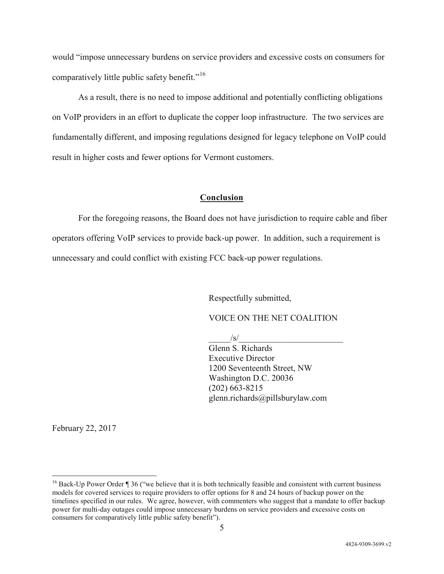would "impose unnecessary burdens on service providers and excessive costs on consumers for comparatively little public safety benefit."<sup>16</sup>

As a result, there is no need to impose additional and potentially conflicting obligations on VoIP providers in an effort to duplicate the copper loop infrastructure. The two services are fundamentally different, and imposing regulations designed for legacy telephone on VoIP could result in higher costs and fewer options for Vermont customers.

#### **Conclusion**

For the foregoing reasons, the Board does not have jurisdiction to require cable and fiber operators offering VoIP services to provide back-up power. In addition, such a requirement is unnecessary and could conflict with existing FCC back-up power regulations.

Respectfully submitted,

VOICE ON THE NET COALITION

 $\sqrt{s}/$ 

Glenn S. Richards Executive Director 1200 Seventeenth Street, NW Washington D.C. 20036 (202) 663-8215 glenn.richards@pillsburylaw.com

February 22, 2017

<sup>&</sup>lt;sup>16</sup> Back-Up Power Order ¶ 36 ("we believe that it is both technically feasible and consistent with current business models for covered services to require providers to offer options for 8 and 24 hours of backup power on the timelines specified in our rules. We agree, however, with commenters who suggest that a mandate to offer backup power for multi-day outages could impose unnecessary burdens on service providers and excessive costs on consumers for comparatively little public safety benefit").